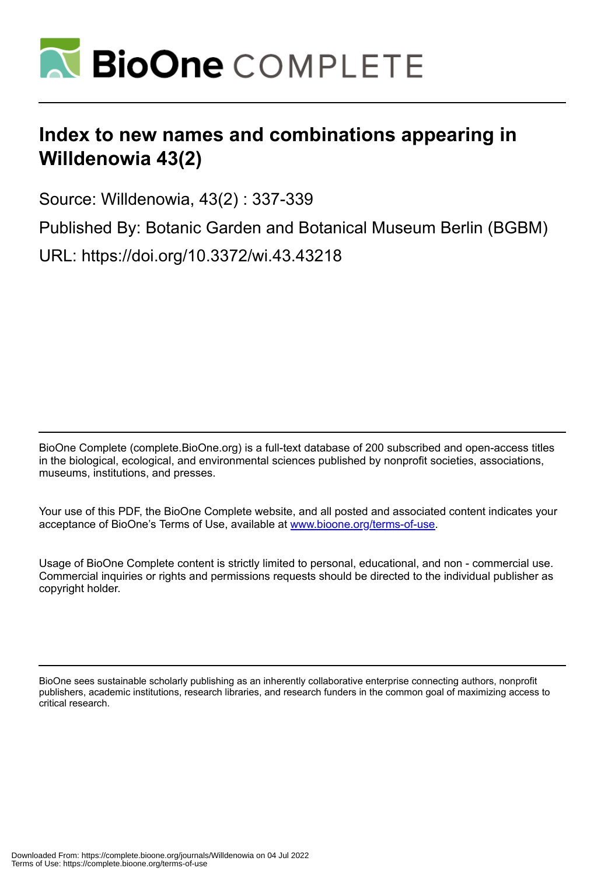

## **Index to new names and combinations appearing in Willdenowia 43(2)**

Source: Willdenowia, 43(2) : 337-339

Published By: Botanic Garden and Botanical Museum Berlin (BGBM)

URL: https://doi.org/10.3372/wi.43.43218

BioOne Complete (complete.BioOne.org) is a full-text database of 200 subscribed and open-access titles in the biological, ecological, and environmental sciences published by nonprofit societies, associations, museums, institutions, and presses.

Your use of this PDF, the BioOne Complete website, and all posted and associated content indicates your acceptance of BioOne's Terms of Use, available at www.bioone.org/terms-of-use.

Usage of BioOne Complete content is strictly limited to personal, educational, and non - commercial use. Commercial inquiries or rights and permissions requests should be directed to the individual publisher as copyright holder.

BioOne sees sustainable scholarly publishing as an inherently collaborative enterprise connecting authors, nonprofit publishers, academic institutions, research libraries, and research funders in the common goal of maximizing access to critical research.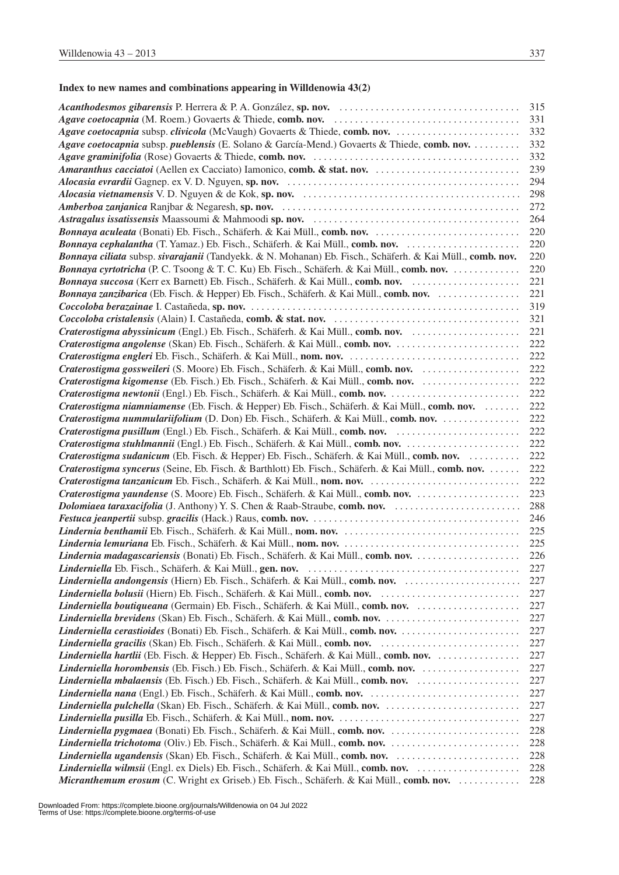## **Index to new names and combinations appearing in Willdenowia 43(2)**

|                                                                                                           | 315 |
|-----------------------------------------------------------------------------------------------------------|-----|
|                                                                                                           | 331 |
| Agave coetocapnia subsp. clivicola (McVaugh) Govaerts & Thiede, comb. nov.                                | 332 |
| Agave coetocapnia subsp. pueblensis (E. Solano & García-Mend.) Govaerts & Thiede, comb. nov.              | 332 |
|                                                                                                           | 332 |
|                                                                                                           | 239 |
|                                                                                                           | 294 |
|                                                                                                           | 298 |
|                                                                                                           | 272 |
|                                                                                                           | 264 |
| Bonnaya aculeata (Bonati) Eb. Fisch., Schäferh. & Kai Müll., comb. nov.                                   | 220 |
| Bonnaya cephalantha (T. Yamaz.) Eb. Fisch., Schäferh. & Kai Müll., comb. nov.                             | 220 |
| Bonnaya ciliata subsp. sivarajanii (Tandyekk. & N. Mohanan) Eb. Fisch., Schäferh. & Kai Müll., comb. nov. | 220 |
| Bonnaya cyrtotricha (P. C. Tsoong & T. C. Ku) Eb. Fisch., Schäferh. & Kai Müll., comb. nov.               | 220 |
| Bonnaya succosa (Kerr ex Barnett) Eb. Fisch., Schäferh. & Kai Müll., comb. nov.                           | 221 |
|                                                                                                           | 221 |
|                                                                                                           | 319 |
|                                                                                                           | 321 |
| Craterostigma abyssinicum (Engl.) Eb. Fisch., Schäferh. & Kai Müll., comb. nov.                           | 221 |
| Craterostigma angolense (Skan) Eb. Fisch., Schäferh. & Kai Müll., comb. nov.                              | 222 |
|                                                                                                           | 222 |
| Craterostigma gossweileri (S. Moore) Eb. Fisch., Schäferh. & Kai Müll., comb. nov.                        | 222 |
| Craterostigma kigomense (Eb. Fisch.) Eb. Fisch., Schäferh. & Kai Müll., comb. nov.                        | 222 |
|                                                                                                           | 222 |
| Craterostigma niamniamense (Eb. Fisch. & Hepper) Eb. Fisch., Schäferh. & Kai Müll., comb. nov.            | 222 |
|                                                                                                           | 222 |
|                                                                                                           | 222 |
| Craterostigma stuhlmannii (Engl.) Eb. Fisch., Schäferh. & Kai Müll., comb. nov.                           | 222 |
| Craterostigma sudanicum (Eb. Fisch. & Hepper) Eb. Fisch., Schäferh. & Kai Müll., comb. nov.               | 222 |
| Craterostigma syncerus (Seine, Eb. Fisch. & Barthlott) Eb. Fisch., Schäferh. & Kai Müll., comb. nov.      | 222 |
|                                                                                                           | 222 |
|                                                                                                           | 223 |
|                                                                                                           | 288 |
|                                                                                                           | 246 |
|                                                                                                           | 225 |
|                                                                                                           | 225 |
|                                                                                                           | 226 |
|                                                                                                           | 227 |
|                                                                                                           | 227 |
|                                                                                                           | 227 |
|                                                                                                           | 227 |
|                                                                                                           | 227 |
|                                                                                                           | 227 |
|                                                                                                           | 227 |
| Linderniella hartlii (Eb. Fisch. & Hepper) Eb. Fisch., Schäferh. & Kai Müll., comb. nov.                  | 227 |
| Linderniella horombensis (Eb. Fisch.) Eb. Fisch., Schäferh. & Kai Müll., comb. nov.                       | 227 |
| Linderniella mbalaensis (Eb. Fisch.) Eb. Fisch., Schäferh. & Kai Müll., comb. nov.                        | 227 |
|                                                                                                           | 227 |
|                                                                                                           | 227 |
|                                                                                                           | 227 |
|                                                                                                           | 228 |
| Linderniella trichotoma (Oliv.) Eb. Fisch., Schäferh. & Kai Müll., comb. nov.                             | 228 |
|                                                                                                           | 228 |
| Linderniella wilmsii (Engl. ex Diels) Eb. Fisch., Schäferh. & Kai Müll., comb. nov.                       | 228 |
| Micranthemum erosum (C. Wright ex Griseb.) Eb. Fisch., Schäferh. & Kai Müll., comb. nov.                  | 228 |
|                                                                                                           |     |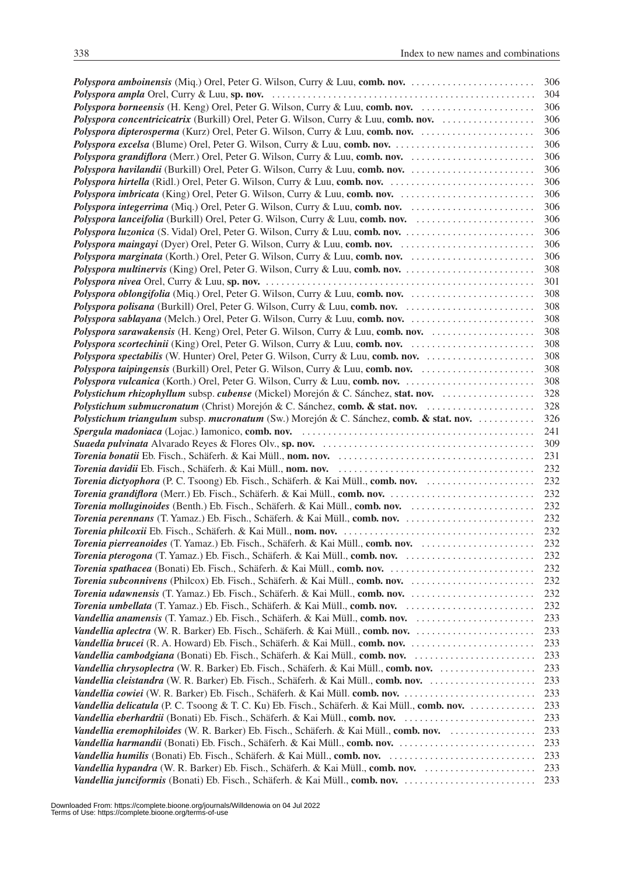|                                                                                              | 306 |
|----------------------------------------------------------------------------------------------|-----|
|                                                                                              | 304 |
| Polyspora borneensis (H. Keng) Orel, Peter G. Wilson, Curry & Luu, comb. nov.                | 306 |
| Polyspora concentricicatrix (Burkill) Orel, Peter G. Wilson, Curry & Luu, comb. nov.         | 306 |
| Polyspora dipterosperma (Kurz) Orel, Peter G. Wilson, Curry & Luu, comb. nov.                | 306 |
| Polyspora excelsa (Blume) Orel, Peter G. Wilson, Curry & Luu, comb. nov.                     | 306 |
|                                                                                              | 306 |
| Polyspora havilandii (Burkill) Orel, Peter G. Wilson, Curry & Luu, comb. nov.                | 306 |
|                                                                                              | 306 |
| Polyspora imbricata (King) Orel, Peter G. Wilson, Curry & Luu, comb. nov.                    | 306 |
|                                                                                              | 306 |
|                                                                                              | 306 |
|                                                                                              | 306 |
| Polyspora maingayi (Dyer) Orel, Peter G. Wilson, Curry & Luu, comb. nov.                     | 306 |
|                                                                                              | 306 |
|                                                                                              | 308 |
|                                                                                              | 301 |
|                                                                                              | 308 |
|                                                                                              | 308 |
|                                                                                              | 308 |
| Polyspora sarawakensis (H. Keng) Orel, Peter G. Wilson, Curry & Luu, comb. nov.              | 308 |
|                                                                                              | 308 |
|                                                                                              | 308 |
|                                                                                              | 308 |
|                                                                                              | 308 |
| Polystichum rhizophyllum subsp. cubense (Mickel) Morejón & C. Sánchez, stat. nov.            | 328 |
| Polystichum submucronatum (Christ) Morejón & C. Sánchez, comb. & stat. nov.                  | 328 |
| Polystichum triangulum subsp. mucronatum (Sw.) Morejón & C. Sánchez, comb. & stat. nov.      | 326 |
|                                                                                              | 241 |
|                                                                                              | 309 |
|                                                                                              | 231 |
|                                                                                              | 232 |
| Torenia dictyophora (P. C. Tsoong) Eb. Fisch., Schäferh. & Kai Müll., comb. nov.             | 232 |
|                                                                                              | 232 |
|                                                                                              | 232 |
|                                                                                              | 232 |
|                                                                                              | 232 |
| Torenia pierreanoides (T. Yamaz.) Eb. Fisch., Schäferh. & Kai Müll., comb. nov.              | 232 |
|                                                                                              | 232 |
|                                                                                              |     |
|                                                                                              | 232 |
|                                                                                              | 232 |
|                                                                                              | 232 |
|                                                                                              | 232 |
| Vandellia anamensis (T. Yamaz.) Eb. Fisch., Schäferh. & Kai Müll., comb. nov.                | 233 |
|                                                                                              | 233 |
|                                                                                              | 233 |
| Vandellia cambodgiana (Bonati) Eb. Fisch., Schäferh. & Kai Müll., comb. nov.                 | 233 |
|                                                                                              | 233 |
|                                                                                              | 233 |
|                                                                                              | 233 |
| Vandellia delicatula (P. C. Tsoong & T. C. Ku) Eb. Fisch., Schäferh. & Kai Müll., comb. nov. | 233 |
|                                                                                              | 233 |
| Vandellia eremophiloides (W. R. Barker) Eb. Fisch., Schäferh. & Kai Müll., comb. nov.        | 233 |
| Vandellia harmandii (Bonati) Eb. Fisch., Schäferh. & Kai Müll., comb. nov.                   | 233 |
|                                                                                              | 233 |
| Vandellia hypandra (W. R. Barker) Eb. Fisch., Schäferh. & Kai Müll., comb. nov.              | 233 |
|                                                                                              | 233 |